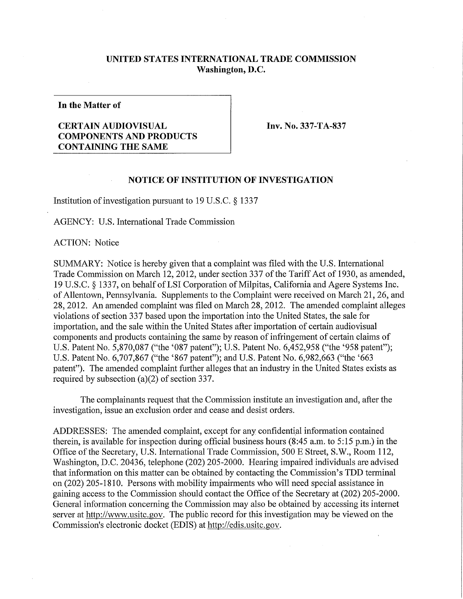## **UNITED STATES INTERNATIONAL TRADE COMMISSION Washington, D.C.**

**In the Matter of** 

## **CERTAIN AUDIOVISUAL COMPONENTS AND PRODUCTS CONTAINING THE SAME**

**Inv. No. 337-TA-837** 

## **NOTICE OF INSTITUTION OF INVESTIGATION**

Institution of investigation pursuant to 19 U.S.C. § 1337

AGENCY: U.S. International Trade Commission

ACTION: Notice

SUMMARY: Notice is hereby given that a complaint was filed with the U.S. International Trade Commission on March 12, 2012, under section 337 of the Tariff Act of 1930, as amended, 19 U.S.C. § 1337, on behalf of LSI Corporation of Milpitas, California and Agere Systems Inc. of Allentown, Pennsylvania. Supplements to the Complaint were received on March 21, 26, and 28, 2012. An amended complaint was filed on March 28, 2012. The amended complaint alleges violations of section 337 based upon the importation into the United States, the sale for importation, and the sale within the United States after importation of certain audiovisual components and products containing the same by reason of infringement of certain claims of U.S. Patent No. 5,870,087 ("the '087 patent"); U.S. Patent No. 6,452,958 ("the '958 patent"); U.S. Patent No. 6,707,867 ("the '867 patent"); and U.S. Patent No. 6,982,663 ("the '663 patent"). The amended complaint further alleges that an industry in the United States exists as required by subsection (a)(2) of section 337.

The complainants request that the Commission institute an investigation and, after the investigation, issue an exclusion order and cease and desist orders.

ADDRESSES: The amended complaint, except for any confidential information contained therein, is available for inspection during official business hours (8:45 a.m. to 5:15 p.m.) in the Office of the Secretary, U.S. International Trade Commission, 500 E Street, S.W., Room 112, Washington, D.C. 20436, telephone (202) 205-2000. Hearing impaired individuals are advised that information on this matter can be obtained by contacting the Commission's TDD terminal on (202) 205-1810. Persons with mobility impairments who will need special assistance in gaining access to the Commission should contact the Office of the Secretary at (202) 205-2000. General information concerning the Commission may also be obtained by accessing its internet server at http://www.usitc.gov. The public record for this investigation may be viewed on the Commission's electronic docket (EDIS) at http://edis.usitc.gov.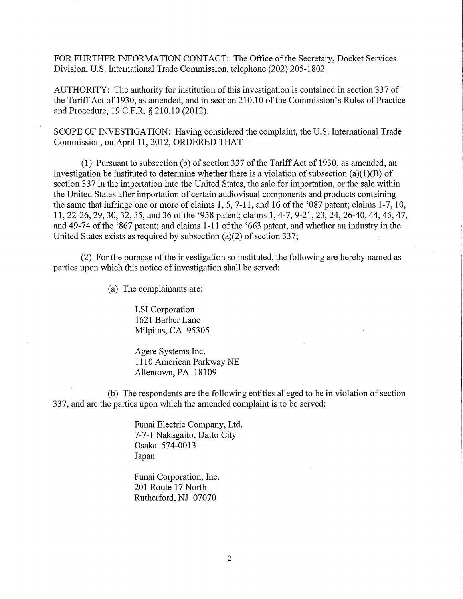FOR FURTHER INFORMATION CONTACT: The Office of the Secretary, Docket Services Division, U.S. International Trade Commission, telephone (202) 205-1802.

AUTHORITY: The authority for institution of this investigation is contained in section 337 of the Tariff Act of 1930, as amended, and in section 210.10 of the Commission's Rules of Practice and Procedure, 19 C.F.R. § 210.10 (2012).

SCOPE OF INVESTIGATION: Having considered the complaint, the U.S. International Trade Commission, on April 11, 2012, ORDERED THAT-

(1) Pursuant to subsection (b) of section 337 of the Tariff Act of 1930, as amended, an investigation be instituted to determine whether there is a violation of subsection (a)(1)(B) of section 337 in the importation into the United States, the sale for importation, or the sale within the United States after importation of certain audiovisual components and products containing the same that infringe one or more of claims 1, 5, 7-11, and 16 of the '087 patent; claims 1-7,10, 11, 22-26,29, 30, 32, 35, and 36 of the '958 patent; claims 1, 4-7, 9-21, 23, 24, 26-40, 44, 45, 47, and 49-74 of the '867 patent; and claims 1-11 of the '663 patent, and whether an industry in the United States exists as required by subsection (a)(2) of section 337;

(2) For the purpose of the investigation so instituted, the following are hereby named as parties upon which this notice of investigation shall be served:

(a) The complainants are:

LSI Corporation 1621 Barber Lane Milpitas, CA 95305

Agere Systems Inc. 1110 American Parkway NE Allentown,PA 18109

(b) The respondents are the following entities alleged to be in violation of section 337, and are the parties upon which the amended complaint is to be served:

> Funai Electric Company, Ltd. 7-7-1 Nakagaito, Daito City Osaka 574-0013 Japan

Funai Corporation, Inc. 201 Route 17 North Rutherford, NJ 07070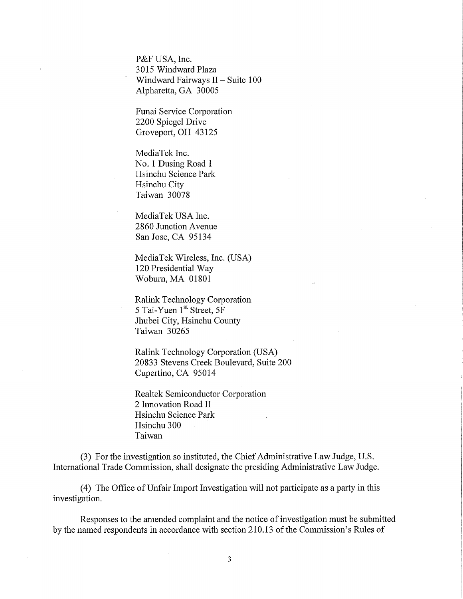P&F USA, Inc. 3015 Windward Plaza Windward Fairways II - Suite 100 Alpharetta, GA 30005

Funai Service Corporation 2200 Spiegel Drive Groveport, OH 43125

MediaTek Inc. No. 1 Dusing Road 1 Hsinchu Science Park Hsinchu City Taiwan 30078

MediaTek USA Inc. 2860 Junction Avenue San Jose, CA 95134

MediaTek Wireless, Inc. (USA) 120 Presidential Way Woburn, MA 01801

Ralink Technology Corporation 5 Tai-Yuen 1<sup>st</sup> Street, 5F Jhubei City, Hsinchu County Taiwan 30265

Ralink Technology Corporation (USA) 20833 Stevens Creek Boulevard, Suite 200 Cupertino, CA 95014

Realtek Semiconductor Corporation 2 Innovation Road II Hsinchu Science Park Hsinchu 300 Taiwan

(3) For the investigation so instituted, the Chief Administrative Law Judge, U.S. International Trade Commission, shall designate the presiding Administrative Law Judge.

(4) The Office of Unfair Import Investigation will not participate as a party in this investigation.

Responses to the amended complaint and the notice of investigation must be submitted by the named respondents in accordance with section 210.13 of the Commission's Rules of